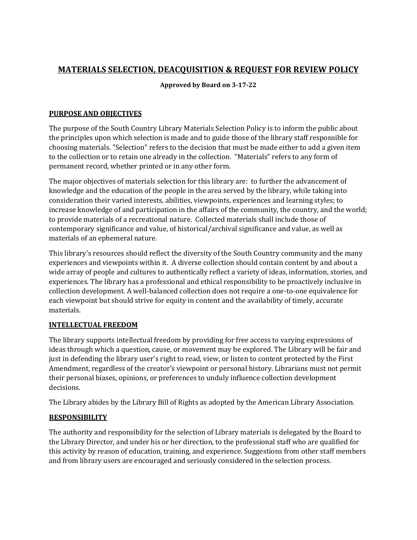## **MATERIALS SELECTION, DEACQUISITION & REQUEST FOR REVIEW POLICY**

**Approved by Board on 3-17-22** 

#### **PURPOSE AND OBJECTIVES**

The purpose of the South Country Library Materials Selection Policy is to inform the public about the principles upon which selection is made and to guide those of the library staff responsible for choosing materials. "Selection" refers to the decision that must be made either to add a given item to the collection or to retain one already in the collection. "Materials" refers to any form of permanent record, whether printed or in any other form.

The major objectives of materials selection for this library are: to further the advancement of knowledge and the education of the people in the area served by the library, while taking into consideration their varied interests, abilities, viewpoints, experiences and learning styles; to increase knowledge of and participation in the affairs of the community, the country, and the world; to provide materials of a recreational nature. Collected materials shall include those of contemporary significance and value, of historical/archival significance and value, as well as materials of an ephemeral nature.

This library's resources should reflect the diversity of the South Country community and the many experiences and viewpoints within it. A diverse collection should contain content by and about a wide array of people and cultures to authentically reflect a variety of ideas, information, stories, and experiences. The library has a professional and ethical responsibility to be proactively inclusive in collection development. A well-balanced collection does not require a one-to-one equivalence for each viewpoint but should strive for equity in content and the availability of timely, accurate materials.

#### **INTELLECTUAL FREEDOM**

The library supports intellectual freedom by providing for free access to varying expressions of ideas through which a question, cause, or movement may be explored. The Library will be fair and just in defending the library user's right to read, view, or listen to content protected by the First Amendment, regardless of the creator's viewpoint or personal history. Librarians must not permit their personal biases, opinions, or preferences to unduly influence collection development decisions.

The Library abides by the Library Bill of Rights as adopted by the American Library Association.

### **RESPONSIBILITY**

The authority and responsibility for the selection of Library materials is delegated by the Board to the Library Director, and under his or her direction, to the professional staff who are qualified for this activity by reason of education, training, and experience. Suggestions from other staff members and from library users are encouraged and seriously considered in the selection process.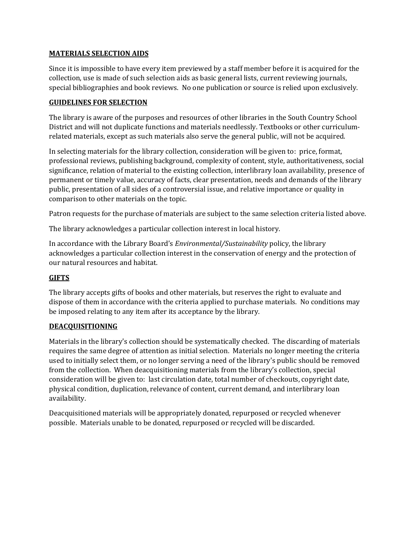#### **MATERIALS SELECTION AIDS**

Since it is impossible to have every item previewed by a staff member before it is acquired for the collection, use is made of such selection aids as basic general lists, current reviewing journals, special bibliographies and book reviews. No one publication or source is relied upon exclusively.

#### **GUIDELINES FOR SELECTION**

The library is aware of the purposes and resources of other libraries in the South Country School District and will not duplicate functions and materials needlessly. Textbooks or other curriculumrelated materials, except as such materials also serve the general public, will not be acquired.

In selecting materials for the library collection, consideration will be given to: price, format, professional reviews, publishing background, complexity of content, style, authoritativeness, social significance, relation of material to the existing collection, interlibrary loan availability, presence of permanent or timely value, accuracy of facts, clear presentation, needs and demands of the library public, presentation of all sides of a controversial issue, and relative importance or quality in comparison to other materials on the topic.

Patron requests for the purchase of materials are subject to the same selection criteria listed above.

The library acknowledges a particular collection interest in local history.

In accordance with the Library Board's *Environmental/Sustainability* policy, the library acknowledges a particular collection interest in the conservation of energy and the protection of our natural resources and habitat.

#### **GIFTS**

The library accepts gifts of books and other materials, but reserves the right to evaluate and dispose of them in accordance with the criteria applied to purchase materials. No conditions may be imposed relating to any item after its acceptance by the library.

#### **DEACQUISITIONING**

Materials in the library's collection should be systematically checked. The discarding of materials requires the same degree of attention as initial selection. Materials no longer meeting the criteria used to initially select them, or no longer serving a need of the library's public should be removed from the collection. When deacquisitioning materials from the library's collection, special consideration will be given to: last circulation date, total number of checkouts, copyright date, physical condition, duplication, relevance of content, current demand, and interlibrary loan availability.

Deacquisitioned materials will be appropriately donated, repurposed or recycled whenever possible. Materials unable to be donated, repurposed or recycled will be discarded.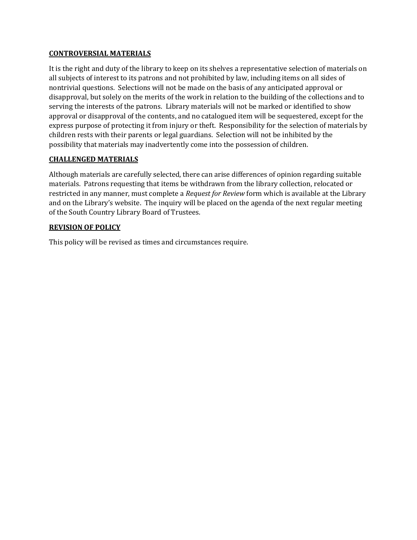#### **CONTROVERSIAL MATERIALS**

It is the right and duty of the library to keep on its shelves a representative selection of materials on all subjects of interest to its patrons and not prohibited by law, including items on all sides of nontrivial questions. Selections will not be made on the basis of any anticipated approval or disapproval, but solely on the merits of the work in relation to the building of the collections and to serving the interests of the patrons. Library materials will not be marked or identified to show approval or disapproval of the contents, and no catalogued item will be sequestered, except for the express purpose of protecting it from injury or theft. Responsibility for the selection of materials by children rests with their parents or legal guardians. Selection will not be inhibited by the possibility that materials may inadvertently come into the possession of children.

#### **CHALLENGED MATERIALS**

Although materials are carefully selected, there can arise differences of opinion regarding suitable materials. Patrons requesting that items be withdrawn from the library collection, relocated or restricted in any manner, must complete a *Request for Review* form which is available at the Library and on the Library's website. The inquiry will be placed on the agenda of the next regular meeting of the South Country Library Board of Trustees.

#### **REVISION OF POLICY**

This policy will be revised as times and circumstances require.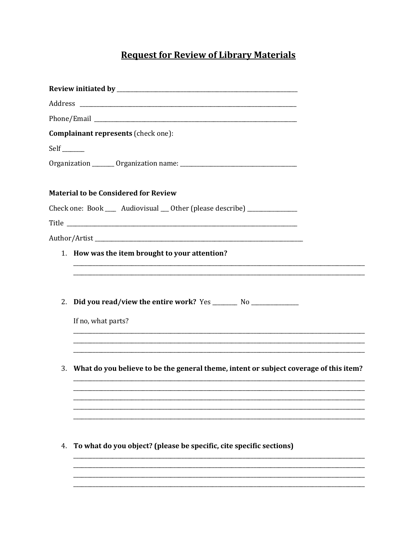# **Request for Review of Library Materials**

| Complainant represents (check one):                                                         |  |
|---------------------------------------------------------------------------------------------|--|
| $Self$ <sub>_______</sub>                                                                   |  |
|                                                                                             |  |
|                                                                                             |  |
| <b>Material to be Considered for Review</b>                                                 |  |
| Check one: Book ___ Audiovisual __ Other (please describe) ______________                   |  |
|                                                                                             |  |
|                                                                                             |  |
| 1. How was the item brought to your attention?                                              |  |
|                                                                                             |  |
|                                                                                             |  |
| 2.                                                                                          |  |
|                                                                                             |  |
| If no, what parts?                                                                          |  |
|                                                                                             |  |
|                                                                                             |  |
| What do you believe to be the general theme, intent or subject coverage of this item?<br>3. |  |
|                                                                                             |  |
|                                                                                             |  |
|                                                                                             |  |
|                                                                                             |  |
| To what do you object? (please be specific, cite specific sections)<br>4.                   |  |
|                                                                                             |  |
|                                                                                             |  |